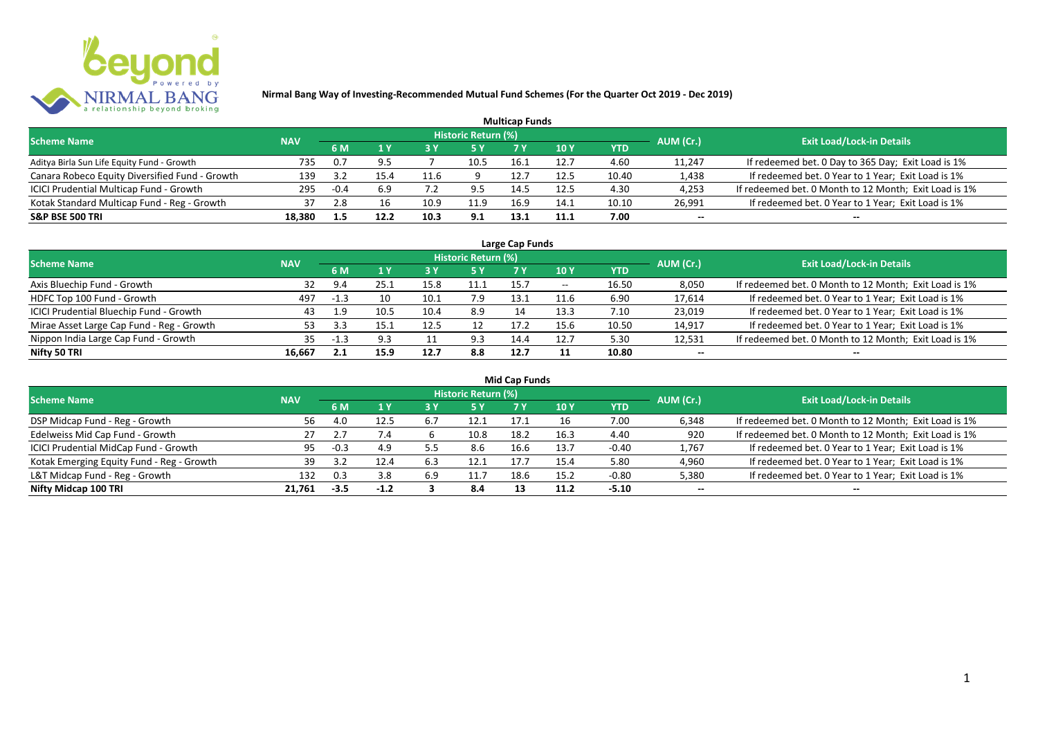

| <b>Multicap Funds</b>                          |            |      |      |      |                     |      |      |       |           |                                                       |  |  |  |
|------------------------------------------------|------------|------|------|------|---------------------|------|------|-------|-----------|-------------------------------------------------------|--|--|--|
| <b>Scheme Name</b>                             | <b>NAV</b> |      |      |      | Historic Return (%) |      |      |       | AUM (Cr.) | <b>Exit Load/Lock-in Details</b>                      |  |  |  |
|                                                |            | 6 M  |      |      |                     |      | 10 Y | YTD   |           |                                                       |  |  |  |
| Aditya Birla Sun Life Equity Fund - Growth     | 735        | 0.7  | ر. ر |      | 10.5                | 16.1 | 12.7 | 4.60  | 11,247    | If redeemed bet. 0 Day to 365 Day; Exit Load is 1%    |  |  |  |
| Canara Robeco Equity Diversified Fund - Growth | 139        | -35  | 15.4 | 11.6 |                     | 12.  | 12.5 | 10.40 | 1,438     | If redeemed bet. 0 Year to 1 Year; Exit Load is 1%    |  |  |  |
| ICICI Prudential Multicap Fund - Growth        | 295        | -0.4 | 6.9  |      |                     | 14.5 | 12.5 | 4.30  | 4,253     | If redeemed bet. 0 Month to 12 Month; Exit Load is 1% |  |  |  |
| Kotak Standard Multicap Fund - Reg - Growth    | 37         | 2.8  | 16   | 10.9 | 11.9                | 16.9 | 14.1 | 10.10 | 26,991    | If redeemed bet. 0 Year to 1 Year; Exit Load is 1%    |  |  |  |
| <b>S&amp;P BSE 500 TRI</b>                     | 18.380     |      | 12.2 | 10.3 | 9.1                 | 13.1 | 11.1 | 7.00  | --        | $- -$                                                 |  |  |  |

| Large Cap Funds                           |            |           |      |      |                            |      |                          |       |           |                                                       |  |  |  |
|-------------------------------------------|------------|-----------|------|------|----------------------------|------|--------------------------|-------|-----------|-------------------------------------------------------|--|--|--|
| <b>Scheme Name</b>                        | <b>NAV</b> |           |      |      | <b>Historic Return (%)</b> |      |                          |       | AUM (Cr.) | <b>Exit Load/Lock-in Details</b>                      |  |  |  |
|                                           |            | <b>6M</b> |      |      | <b>5 Y</b>                 | 7 Y  | 10Y                      | YTD   |           |                                                       |  |  |  |
| Axis Bluechip Fund - Growth               | 32         | 9.4       | 25.1 |      |                            | 15.7 | $\overline{\phantom{a}}$ | 16.50 | 8,050     | If redeemed bet. 0 Month to 12 Month; Exit Load is 1% |  |  |  |
| HDFC Top 100 Fund - Growth                | 497        | $-1.3$    | 10   | 10.1 | 7.9                        | 13.1 | 11.6                     | 6.90  | 17,614    | If redeemed bet. 0 Year to 1 Year; Exit Load is 1%    |  |  |  |
| ICICI Prudential Bluechip Fund - Growth   | 43         | 1.9       | 10.5 | 10.4 | 8.9                        | 14   | 13.3                     | 7.10  | 23,019    | If redeemed bet. 0 Year to 1 Year; Exit Load is 1%    |  |  |  |
| Mirae Asset Large Cap Fund - Reg - Growth | 53         |           | 15.7 | 12.5 |                            | 17.2 | 15.6                     | 10.50 | 14,917    | If redeemed bet. 0 Year to 1 Year; Exit Load is 1%    |  |  |  |
| Nippon India Large Cap Fund - Growth      | 35         |           | 9.3  |      | 9.3                        | 14.4 | 12.7                     | 5.30  | 12,531    | If redeemed bet. 0 Month to 12 Month; Exit Load is 1% |  |  |  |
| Nifty 50 TRI                              | 16.667     | 2.1       | 15.9 | 12.7 | 8.8                        | 12.7 |                          | 10.80 | $- -$     | $- -$                                                 |  |  |  |

| <b>Mid Cap Funds</b>                      |            |        |        |     |                            |      |      |            |           |                                                       |  |  |  |
|-------------------------------------------|------------|--------|--------|-----|----------------------------|------|------|------------|-----------|-------------------------------------------------------|--|--|--|
| <b>Scheme Name</b>                        | <b>NAV</b> |        |        |     | <b>Historic Return (%)</b> |      |      |            | AUM (Cr.) | <b>Exit Load/Lock-in Details</b>                      |  |  |  |
|                                           |            | 6 M    |        |     | 5 Y                        | 7 Y  | 10 Y | <b>YTD</b> |           |                                                       |  |  |  |
| DSP Midcap Fund - Reg - Growth            | 56         | 4.0    | 12.5   | 6.7 | 12.1                       | 17.1 |      | 7.00       | 6,348     | If redeemed bet. 0 Month to 12 Month; Exit Load is 1% |  |  |  |
| Edelweiss Mid Cap Fund - Growth           | 27         |        | 7.4    |     | 10.8                       | 18.2 | 16.3 | 4.40       | 920       | If redeemed bet. 0 Month to 12 Month; Exit Load is 1% |  |  |  |
| ICICI Prudential MidCap Fund - Growth     | 95         | $-0.3$ | 4.9    | 5.5 | 8.6                        | 16.6 | 13.7 | $-0.40$    | 1,767     | If redeemed bet. 0 Year to 1 Year; Exit Load is 1%    |  |  |  |
| Kotak Emerging Equity Fund - Reg - Growth | 39         |        |        | 6.3 | 12.1                       | 17.  | 15.4 | 5.80       | 4,960     | If redeemed bet. 0 Year to 1 Year; Exit Load is 1%    |  |  |  |
| L&T Midcap Fund - Reg - Growth            | 132        | 0.3    | 3.8    | 6.9 | 11.7                       | 18.6 | 15.2 | $-0.80$    | 5,380     | If redeemed bet. 0 Year to 1 Year; Exit Load is 1%    |  |  |  |
| Nifty Midcap 100 TRI                      | 21.761     | -3.5   | $-1.2$ |     | 8.4                        |      | 11.2 | $-5.10$    | $- -$     | $- -$                                                 |  |  |  |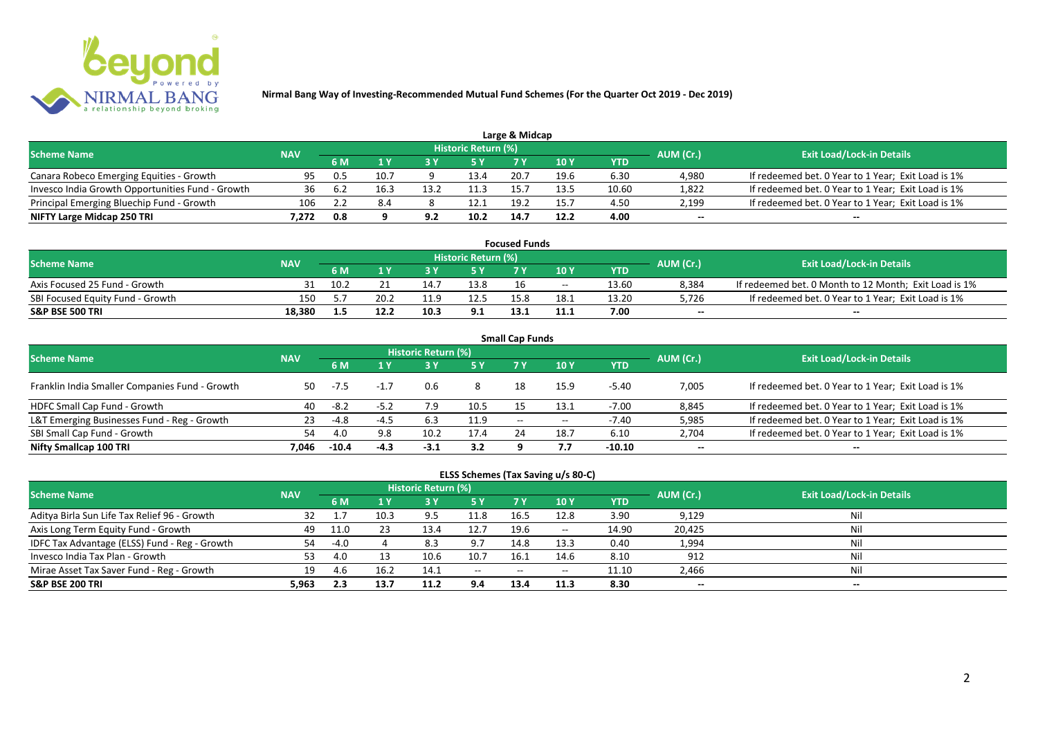

|                                                  |            |     |      |      |                            | Large & Midcap |      |       |           |                                                    |
|--------------------------------------------------|------------|-----|------|------|----------------------------|----------------|------|-------|-----------|----------------------------------------------------|
| <b>Scheme Name</b>                               | <b>NAV</b> |     |      |      | <b>Historic Return (%)</b> |                |      |       | AUM (Cr.) | <b>Exit Load/Lock-in Details</b>                   |
|                                                  |            | 6 M |      |      | 5 Y                        |                |      | YTD   |           |                                                    |
| Canara Robeco Emerging Equities - Growth         | 95         | 0.5 | 10.7 |      | 13.4                       | 20.7           | 19.6 | 6.30  | 4,980     | If redeemed bet. 0 Year to 1 Year; Exit Load is 1% |
| Invesco India Growth Opportunities Fund - Growth | 36         | 6.2 | 16.3 | 13.2 |                            |                | 13.5 | 10.60 | 1,822     | If redeemed bet. 0 Year to 1 Year; Exit Load is 1% |
| Principal Emerging Bluechip Fund - Growth        | 106        |     |      |      | 12.1                       | 19.            | 15.7 | 4.50  | 2,199     | If redeemed bet. 0 Year to 1 Year; Exit Load is 1% |
| NIFTY Large Midcap 250 TRI                       | 7.272      | 0.8 |      | 92   | 10.2                       | 14.7           | 12.2 | 4.00  | $- -$     | $- -$                                              |

| <b>Focused Funds</b>             |            |      |      |      |                            |      |       |       |           |                                                       |  |  |
|----------------------------------|------------|------|------|------|----------------------------|------|-------|-------|-----------|-------------------------------------------------------|--|--|
| <b>Scheme Name</b>               | <b>NAV</b> |      |      |      | <b>Historic Return (%)</b> |      |       |       | AUM (Cr.) | <b>Exit Load/Lock-in Details</b>                      |  |  |
|                                  |            | 6 M  |      |      | 5 Y                        |      | 10 Y  | YTD   |           |                                                       |  |  |
| Axis Focused 25 Fund - Growth    |            | 10.2 |      | 14.7 | 13.8                       |      | $- -$ | 13.60 | 8,384     | If redeemed bet. 0 Month to 12 Month; Exit Load is 1% |  |  |
| SBI Focused Equity Fund - Growth | 150        |      | 20.2 | 11.9 | 12.5                       |      | 18.1  | 13.20 | 5,726     | If redeemed bet. 0 Year to 1 Year; Exit Load is 1%    |  |  |
| <b>S&amp;P BSE 500 TRI</b>       | 18.380     |      |      | 10.5 | 9.1                        | 13.1 | 11.1  | 7.00  | $- -$     | $-$                                                   |  |  |

| <b>Small Cap Funds</b>                         |            |         |        |                     |      |                   |                 |            |           |                                                    |  |  |  |
|------------------------------------------------|------------|---------|--------|---------------------|------|-------------------|-----------------|------------|-----------|----------------------------------------------------|--|--|--|
| <b>Scheme Name</b>                             | <b>NAV</b> |         |        | Historic Return (%) |      |                   |                 |            | AUM (Cr.) | <b>Exit Load/Lock-in Details</b>                   |  |  |  |
|                                                |            |         |        |                     | 5 Y  | 7 Y               | 10 <sub>Y</sub> | <b>YTD</b> |           |                                                    |  |  |  |
| Franklin India Smaller Companies Fund - Growth | 50         | $-7.5$  | $-1.7$ | 0.6                 |      | 18                | 15.9            | $-5.40$    | 7,005     | If redeemed bet. 0 Year to 1 Year; Exit Load is 1% |  |  |  |
| HDFC Small Cap Fund - Growth                   | 40         | $-8.2$  | $-5.2$ |                     | 10.5 |                   | 13.1            | $-7.00$    | 8,845     | If redeemed bet. 0 Year to 1 Year; Exit Load is 1% |  |  |  |
| L&T Emerging Businesses Fund - Reg - Growth    | 23         | -4.8    | $-4.5$ | 6.3                 | 11.9 | $\hspace{0.05cm}$ | $- -$           | -7.40      | 5,985     | If redeemed bet. 0 Year to 1 Year; Exit Load is 1% |  |  |  |
| SBI Small Cap Fund - Growth                    | 54         | 4.0     | 9.8    | 10.2                | 17.4 |                   | 18.7            | 6.10       | 2,704     | If redeemed bet. 0 Year to 1 Year; Exit Load is 1% |  |  |  |
| Nifty Smallcap 100 TRI                         | 7.046      | $-10.4$ | $-4.3$ | $-3.1$              | 3.2  |                   |                 | $-10.10$   | $- -$     | --                                                 |  |  |  |

## **ELSS Schemes (Tax Saving u/s 80-C)**

| <b>Scheme Name</b>                            | <b>NAV</b> |        |      | <b>Historic Return (%)</b> |           |       |               |       | AUM (Cr.) | <b>Exit Load/Lock-in Details</b> |
|-----------------------------------------------|------------|--------|------|----------------------------|-----------|-------|---------------|-------|-----------|----------------------------------|
|                                               |            | 6 M    |      |                            | <b>5Y</b> | 7 Y   | <b>10Y</b>    | YTD   |           |                                  |
| Aditya Birla Sun Life Tax Relief 96 - Growth  | 32         |        | 10.3 | 9.5                        | 11.8      | 16.5  | 12.8          | 3.90  | 9,129     | Nil                              |
| Axis Long Term Equity Fund - Growth           | 49         | 11.0   | 23   | 13.4                       | 12.7      | 19.6  | $\sim$ $\sim$ | 14.90 | 20,425    | Nil                              |
| IDFC Tax Advantage (ELSS) Fund - Reg - Growth | 54         | $-4.0$ |      | 8.3                        | 9.7       | 14.8  | 13.3          | 0.40  | 1,994     | Nil                              |
| Invesco India Tax Plan - Growth               | 53         | 4.0    |      | 10.6                       | 10.7      | 16.1  | 14.6          | 8.10  | 912       | Nil                              |
| Mirae Asset Tax Saver Fund - Reg - Growth     | 19         | 4.b    | 16.2 | 14.1                       | $  \,$    | $- -$ | $- -$         | 11.10 | 2,466     | Nil                              |
| <b>S&amp;P BSE 200 TRI</b>                    | 5.963      | 2.3    | 13.7 | 11.2                       | 9.4       | 13.4  | 11.3          | 8.30  | $- -$     | $- -$                            |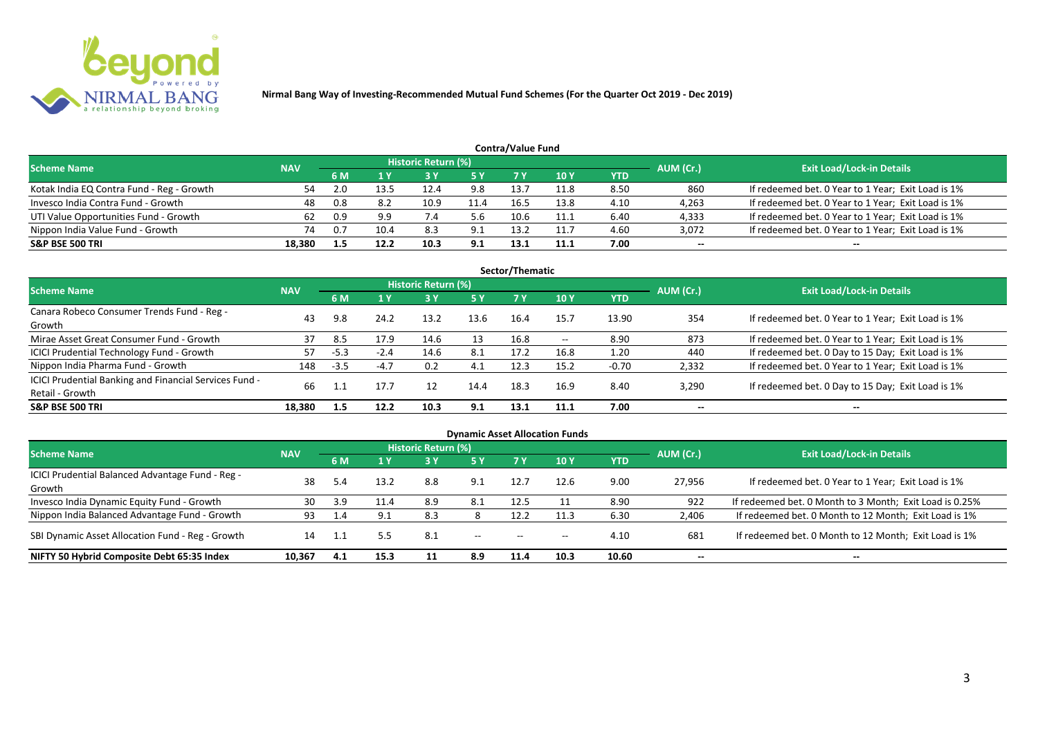

| <b>Contra/Value Fund</b>                  |            |     |      |                            |           |      |            |      |           |                                                    |  |  |  |
|-------------------------------------------|------------|-----|------|----------------------------|-----------|------|------------|------|-----------|----------------------------------------------------|--|--|--|
| <b>Scheme Name</b>                        | <b>NAV</b> |     |      | <b>Historic Return (%)</b> |           |      |            |      | AUM (Cr.) | <b>Exit Load/Lock-in Details</b>                   |  |  |  |
|                                           |            | 6 M |      |                            | <b>5Y</b> |      | <b>10Y</b> | YTD  |           |                                                    |  |  |  |
| Kotak India EQ Contra Fund - Reg - Growth | 54         |     | 13.5 | 12.4                       | 9.8       | 13.7 | 11.8       | 8.50 | 860       | If redeemed bet. 0 Year to 1 Year; Exit Load is 1% |  |  |  |
| Invesco India Contra Fund - Growth        | 48         | 0.8 | 8.2  | 10.9                       | 11.4      | 16.5 | 13.8       | 4.10 | 4,263     | If redeemed bet. 0 Year to 1 Year; Exit Load is 1% |  |  |  |
| UTI Value Opportunities Fund - Growth     | 62         | 0.9 | 9.9  |                            | 5.6       | 10.6 | 11.1       | 6.40 | 4,333     | If redeemed bet. 0 Year to 1 Year; Exit Load is 1% |  |  |  |
| Nippon India Value Fund - Growth          | 74         | 0.7 | 10.4 | 8.3                        | 9.1       | 13.2 | 11.7       | 4.60 | 3,072     | If redeemed bet. 0 Year to 1 Year; Exit Load is 1% |  |  |  |
| <b>S&amp;P BSE 500 TRI</b>                | 18.380     | 1.5 | 12.2 | 10.3                       | 9.1       | 13.1 | 11.1       | 7.00 | $- -$     | $- -$                                              |  |  |  |

| Sector/Thematic                                        |            |        |        |                            |            |      |       |            |           |                                                    |  |  |  |
|--------------------------------------------------------|------------|--------|--------|----------------------------|------------|------|-------|------------|-----------|----------------------------------------------------|--|--|--|
| <b>Scheme Name</b>                                     | <b>NAV</b> |        |        | <b>Historic Return (%)</b> |            |      |       |            | AUM (Cr.) | <b>Exit Load/Lock-in Details</b>                   |  |  |  |
|                                                        |            | 6 M    | 1 Y    | <b>73 Y</b>                | <b>5 Y</b> | 7 Y  | 10Y   | <b>YTD</b> |           |                                                    |  |  |  |
| Canara Robeco Consumer Trends Fund - Reg -             | 43         | 9.8    | 24.2   | 13.2                       | 13.6       | 16.4 | 15.7  | 13.90      | 354       | If redeemed bet. 0 Year to 1 Year; Exit Load is 1% |  |  |  |
| Growth                                                 |            |        |        |                            |            |      |       |            |           |                                                    |  |  |  |
| Mirae Asset Great Consumer Fund - Growth               | 37         | 8.5    | 17.9   | 14.6                       | 13         | 16.8 | $- -$ | 8.90       | 873       | If redeemed bet. 0 Year to 1 Year; Exit Load is 1% |  |  |  |
| <b>ICICI Prudential Technology Fund - Growth</b>       | 57         | $-5.3$ | $-2.4$ | 14.6                       | 8.1        | 17.2 | 16.8  | 1.20       | 440       | If redeemed bet. 0 Day to 15 Day; Exit Load is 1%  |  |  |  |
| Nippon India Pharma Fund - Growth                      | 148        | $-3.5$ | $-4.7$ | 0.2                        | 4.1        | 12.3 | 15.2  | $-0.70$    | 2,332     | If redeemed bet. 0 Year to 1 Year; Exit Load is 1% |  |  |  |
| ICICI Prudential Banking and Financial Services Fund - |            |        |        |                            |            | 18.3 |       |            |           |                                                    |  |  |  |
| Retail - Growth                                        | 66         |        | 17.7   | 12                         | 14.4       |      | 16.9  | 8.40       | 3,290     | If redeemed bet. 0 Day to 15 Day; Exit Load is 1%  |  |  |  |
| <b>S&amp;P BSE 500 TRI</b>                             | 18.380     | 1.5    | 12.2   | 10.3                       | 9.1        | 13.1 | 11.1  | 7.00       | --        | $- -$                                              |  |  |  |

| <b>Dynamic Asset Allocation Funds</b>                      |            |     |                |                     |               |           |            |            |           |                                                         |  |  |
|------------------------------------------------------------|------------|-----|----------------|---------------------|---------------|-----------|------------|------------|-----------|---------------------------------------------------------|--|--|
| <b>Scheme Name</b>                                         | <b>NAV</b> |     |                | Historic Return (%) |               |           |            |            | AUM (Cr.) | <b>Exit Load/Lock-in Details</b>                        |  |  |
|                                                            |            |     | 1 <sub>Y</sub> | <b>3 Y</b>          | 5Y            | <b>7Y</b> | <b>10Y</b> | <b>YTD</b> |           |                                                         |  |  |
| ICICI Prudential Balanced Advantage Fund - Reg -<br>Growth | 38         |     | 13.2           | 8.8                 | 9.1           | 12.7      | 12.6       | 9.00       | 27,956    | If redeemed bet. 0 Year to 1 Year; Exit Load is 1%      |  |  |
| Invesco India Dynamic Equity Fund - Growth                 | 30         | 3.9 | 11.4           | 8.9                 | 8.1           | 12.5      |            | 8.90       | 922       | If redeemed bet. 0 Month to 3 Month; Exit Load is 0.25% |  |  |
| Nippon India Balanced Advantage Fund - Growth              | 93         |     | 9.1            | 8.3                 |               | 12.2      | 11.3       | 6.30       | 2,406     | If redeemed bet. 0 Month to 12 Month; Exit Load is 1%   |  |  |
| SBI Dynamic Asset Allocation Fund - Reg - Growth           | 14         |     | 5.5            | 8.1                 | $\sim$ $\sim$ | $-$       | $- -$      | 4.10       | 681       | If redeemed bet. 0 Month to 12 Month; Exit Load is 1%   |  |  |
| NIFTY 50 Hybrid Composite Debt 65:35 Index                 | 10,367     | 4.1 | 15.3           |                     | 8.9           | 11.4      | 10.3       | 10.60      | $- -$     | $- -$                                                   |  |  |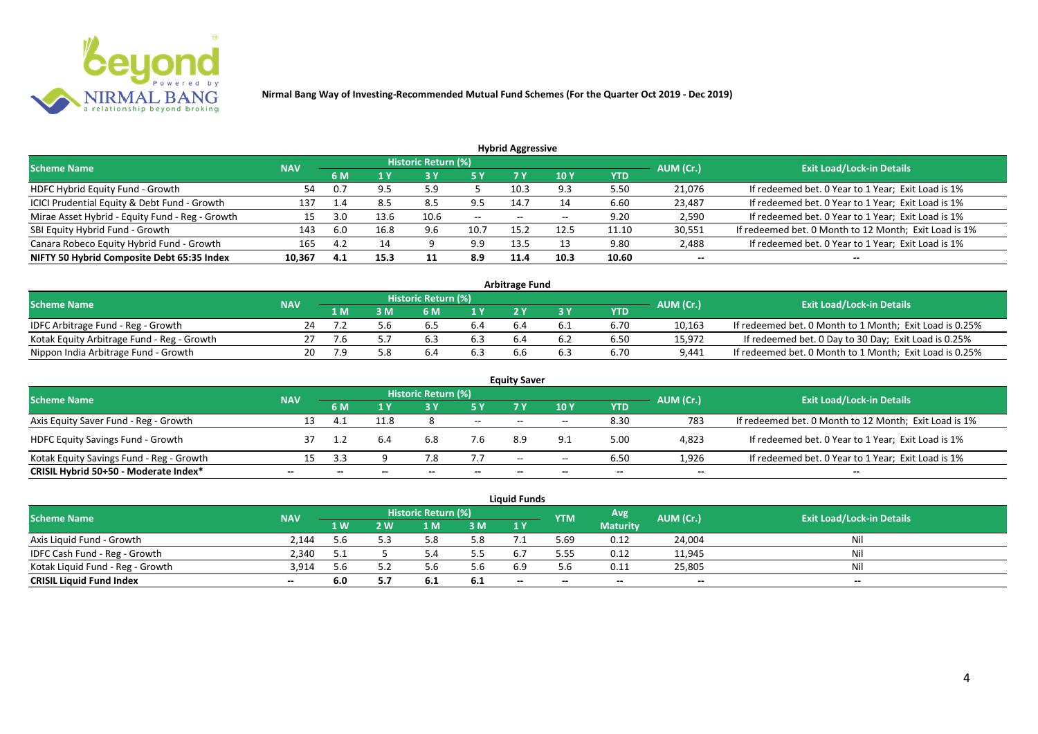

| <b>Hybrid Aggressive</b> |            |      |                                 |                          |                     |       |       |        |                                                       |  |  |  |  |
|--------------------------|------------|------|---------------------------------|--------------------------|---------------------|-------|-------|--------|-------------------------------------------------------|--|--|--|--|
|                          |            |      |                                 |                          |                     |       |       |        | <b>Exit Load/Lock-in Details</b>                      |  |  |  |  |
|                          | 6 M        | 1 Y  | 10Y<br>7 Y<br>5 Y<br><b>YTD</b> |                          |                     |       |       |        |                                                       |  |  |  |  |
| 54                       | 0.7        |      | 5.9                             |                          | 10.3                | 9.3   | 5.50  | 21,076 | If redeemed bet. 0 Year to 1 Year; Exit Load is 1%    |  |  |  |  |
| 137                      | 1.4        | 8.5  | 8.5                             | 9.5                      | 14.7                | 14    | 6.60  | 23,487 | If redeemed bet. 0 Year to 1 Year; Exit Load is 1%    |  |  |  |  |
| 15                       | 3.0        | 13.6 | 10.6                            | $\overline{\phantom{a}}$ | $- -$               | $- -$ | 9.20  | 2,590  | If redeemed bet. 0 Year to 1 Year; Exit Load is 1%    |  |  |  |  |
| 143                      | 6.0        | 16.8 | 9.6                             | 10.7                     | 15.2                | 12.5  | 11.10 | 30,551 | If redeemed bet. 0 Month to 12 Month; Exit Load is 1% |  |  |  |  |
| 165                      | 4.2        | 14   | a                               | 9.9                      | 13.5                | 13    | 9.80  | 2,488  | If redeemed bet. 0 Year to 1 Year; Exit Load is 1%    |  |  |  |  |
| 10,367                   | 4.1        | 15.3 |                                 | 8.9                      | 11.4                | 10.3  | 10.60 | $- -$  | --                                                    |  |  |  |  |
|                          | <b>NAV</b> |      |                                 |                          | Historic Return (%) |       |       |        | AUM (Cr.)                                             |  |  |  |  |

| <b>Arbitrage Fund</b>                      |            |     |     |                            |                  |     |     |      |           |                                                         |  |  |  |
|--------------------------------------------|------------|-----|-----|----------------------------|------------------|-----|-----|------|-----------|---------------------------------------------------------|--|--|--|
| <b>Scheme Name</b>                         | <b>NAV</b> |     |     | <b>Historic Return (%)</b> |                  |     |     |      | AUM (Cr.) | <b>Exit Load/Lock-in Details</b>                        |  |  |  |
|                                            |            | L M | : M | 6 M                        | $\overline{1}$ Y |     |     | YTD  |           |                                                         |  |  |  |
| IDFC Arbitrage Fund - Reg - Growth         | 24         |     |     | b.b                        | 6.4              | b.4 | b.1 | 6.70 | 10,163    | If redeemed bet. 0 Month to 1 Month; Exit Load is 0.25% |  |  |  |
| Kotak Equity Arbitrage Fund - Reg - Growth |            | ./b |     | 6.3                        |                  |     |     | 6.50 | 15,972    | If redeemed bet. 0 Day to 30 Day; Exit Load is 0.25%    |  |  |  |
| Nippon India Arbitrage Fund - Growth       | 20.        | 7.9 |     | 6.4                        |                  | b.b |     | 6.70 | 9,441     | If redeemed bet. 0 Month to 1 Month; Exit Load is 0.25% |  |  |  |

|                                          |            |       |      |                            |     | <b>Equity Saver</b> |       |            |           |                                                       |  |
|------------------------------------------|------------|-------|------|----------------------------|-----|---------------------|-------|------------|-----------|-------------------------------------------------------|--|
| <b>Scheme Name</b>                       | <b>NAV</b> |       |      | <b>Historic Return (%)</b> |     |                     |       |            |           | <b>Exit Load/Lock-in Details</b>                      |  |
|                                          |            | 6 M   |      |                            | 5 Y | 7V                  | 10Y   | <b>YTD</b> | AUM (Cr.) |                                                       |  |
| Axis Equity Saver Fund - Reg - Growth    | 13         |       | 11.8 |                            | $-$ | $- -$               | $- -$ | 8.30       | 783       | If redeemed bet. 0 Month to 12 Month; Exit Load is 1% |  |
| <b>HDFC Equity Savings Fund - Growth</b> |            |       | 6.4  | 6.8                        | 7.6 |                     | 9.1   | 5.00       | 4,823     | If redeemed bet. 0 Year to 1 Year; Exit Load is 1%    |  |
| Kotak Equity Savings Fund - Reg - Growth | 15         | - ર ર |      |                            | 7.7 | $- -$               | $- -$ | 6.50       | 1.926     | If redeemed bet. 0 Year to 1 Year; Exit Load is 1%    |  |
| CRISIL Hybrid 50+50 - Moderate Index*    | $- -$      |       |      |                            |     | --                  | $- -$ | $- -$      | $- -$     | $- -$                                                 |  |

|                                  |            |     |     |                     |     | Liauid Funds |            |                 |           |                                  |
|----------------------------------|------------|-----|-----|---------------------|-----|--------------|------------|-----------------|-----------|----------------------------------|
| <b>Scheme Name</b>               | <b>NAV</b> |     |     | Historic Return (%) |     |              | <b>YTM</b> | Avg             | AUM (Cr.) | <b>Exit Load/Lock-in Details</b> |
|                                  |            | 1 W | ! W | 1 <sub>M</sub>      | 3 M | 1Y           |            | <b>Maturity</b> |           |                                  |
| Axis Liquid Fund - Growth        | 2.144      | 5.6 |     |                     | 5.8 |              | 5.69       | 0.12            | 24,004    | Nil                              |
| IDFC Cash Fund - Reg - Growth    | 2.340      |     |     |                     | 5.5 | 6.           | 5.55       | 0.12            | 11,945    | Nil                              |
| Kotak Liguid Fund - Reg - Growth | 3.914      | 5.6 |     |                     | 5.6 | 6.9          |            | 0.11            | 25,805    | Ni                               |
| <b>CRISIL Liquid Fund Index</b>  | $- -$      | 6.0 |     | 6.I                 | 6.1 | $- -$        | $- -$      | $-$             | $-$       | $-$                              |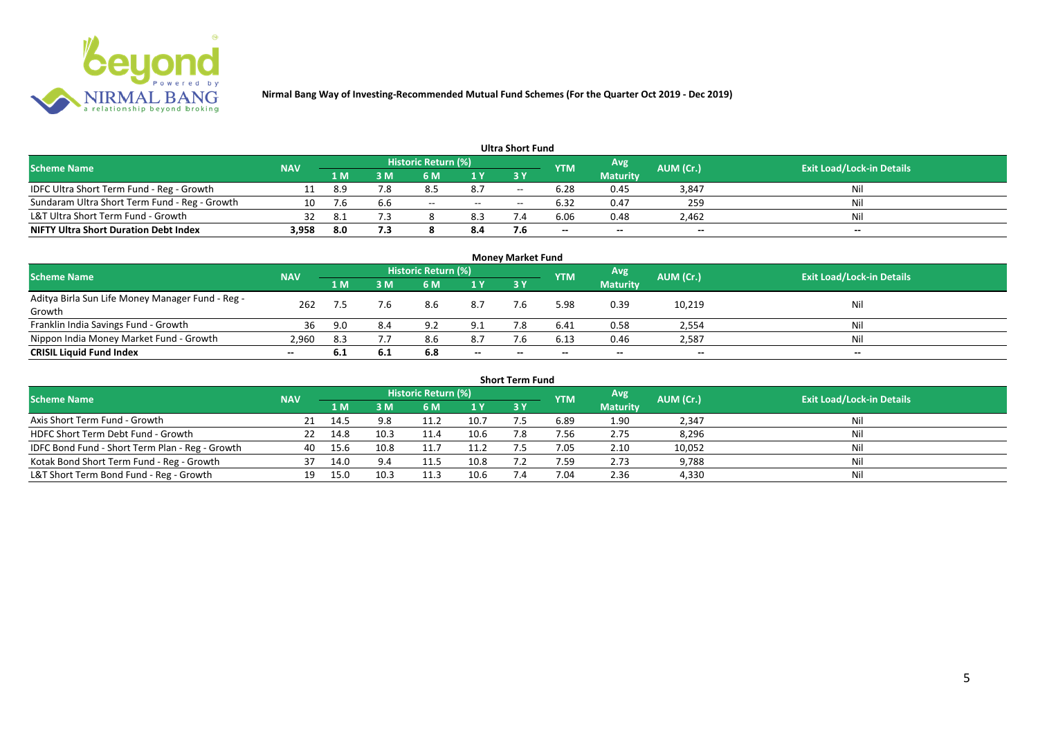

|                                               |            |      |     |                     |       | <b>Ultra Short Fund</b>  |                          |                 |                          |                                  |
|-----------------------------------------------|------------|------|-----|---------------------|-------|--------------------------|--------------------------|-----------------|--------------------------|----------------------------------|
| <b>Scheme Name</b>                            | <b>NAV</b> |      |     | Historic Return (%) |       |                          | <b>YTM</b>               | Avg             | AUM (Cr.)                | <b>Exit Load/Lock-in Details</b> |
|                                               |            | 1 M  | sм  | 6 M                 | 1 Y   | 73 Y                     |                          | <b>Maturity</b> |                          |                                  |
| IDFC Ultra Short Term Fund - Reg - Growth     |            | -8.9 | 7.8 | 8.5                 | 8.7   | $\overline{\phantom{a}}$ | 6.28                     | 0.45            | 3,847                    | Nil                              |
| Sundaram Ultra Short Term Fund - Reg - Growth | 10         | 7.6  | b.b | $- -$               | $- -$ | $- -$                    | 6.32                     | 0.47            | 259                      | Nil                              |
| L&T Ultra Short Term Fund - Growth            | 32         |      |     |                     | 8.3   |                          | 6.06                     | 0.48            | 2,462                    | Nil                              |
| <b>NIFTY Ultra Short Duration Debt Index</b>  | 3,958      | 8.0  | 7.3 |                     | 8.4   |                          | $\overline{\phantom{a}}$ | $-$             | $\overline{\phantom{a}}$ | $-$                              |

|                                                            |                                                                            |     |      |                                  |       | <b>Money Market Fund</b> |       |                 |        |       |
|------------------------------------------------------------|----------------------------------------------------------------------------|-----|------|----------------------------------|-------|--------------------------|-------|-----------------|--------|-------|
| <b>Scheme Name</b>                                         | <b>Historic Return (%)</b><br>Avg<br>AUM (Cr.)<br><b>YTM</b><br><b>NAV</b> |     |      | <b>Exit Load/Lock-in Details</b> |       |                          |       |                 |        |       |
|                                                            |                                                                            | 1 M | 3 M  | 6 M                              | 1 Y   | <b>3Y</b>                |       | <b>Maturity</b> |        |       |
| Aditya Birla Sun Life Money Manager Fund - Reg -<br>Growth | 262                                                                        |     | 7.6  | 8.6                              | 8.7   | 7.6                      | 5.98  | 0.39            | 10,219 | Nil   |
| Franklin India Savings Fund - Growth                       | 36                                                                         | 9.0 | 8.4  | 92                               | 9.1   |                          | 6.41  | 0.58            | 2,554  | Nil   |
| Nippon India Money Market Fund - Growth                    | 2,960                                                                      | 8.3 |      | 8.6                              | 8.7   | 7.6                      | 6.13  | 0.46            | 2,587  | Nil   |
| <b>CRISIL Liquid Fund Index</b>                            | $- -$                                                                      | 6.1 | -6.1 | 6.8                              | $- -$ | $\overline{\phantom{a}}$ | $- -$ | $- -$           | $-$    | $- -$ |

|                                                 |            |      |      |                     |      | <b>Short Term Fund</b> |            |                 |           |                                  |
|-------------------------------------------------|------------|------|------|---------------------|------|------------------------|------------|-----------------|-----------|----------------------------------|
| <b>Scheme Name</b>                              | <b>NAV</b> |      |      | Historic Return (%) |      |                        | <b>YTM</b> | Avg             | AUM (Cr.) | <b>Exit Load/Lock-in Details</b> |
|                                                 |            | 1 M. | 3 M  | 6 M                 | 1 Y  | 3 Y                    |            | <b>Maturity</b> |           |                                  |
| Axis Short Term Fund - Growth                   |            | 14.5 | 9.8  | 11.2                | 10.7 | 7.5                    | 6.89       | 1.90            | 2,347     | Nil                              |
| HDFC Short Term Debt Fund - Growth              |            | 14.8 | 10.3 | 11.4                | 10.6 | 7.8                    | 7.56       | 2.75            | 8,296     | Nil                              |
| IDFC Bond Fund - Short Term Plan - Reg - Growth | 40         | 15.6 | 10.8 | 11.7                | 11.2 |                        | 7.05       | 2.10            | 10,052    | Nil                              |
| Kotak Bond Short Term Fund - Reg - Growth       | 37         | 14.0 | 9.4  | 11.5                | 10.8 |                        | 7.59       | 2.73            | 9,788     | Nil                              |
| L&T Short Term Bond Fund - Reg - Growth         |            | 15.0 | 10.3 | 11.3                | 10.6 |                        | 7.04       | 2.36            | 4,330     | Nil                              |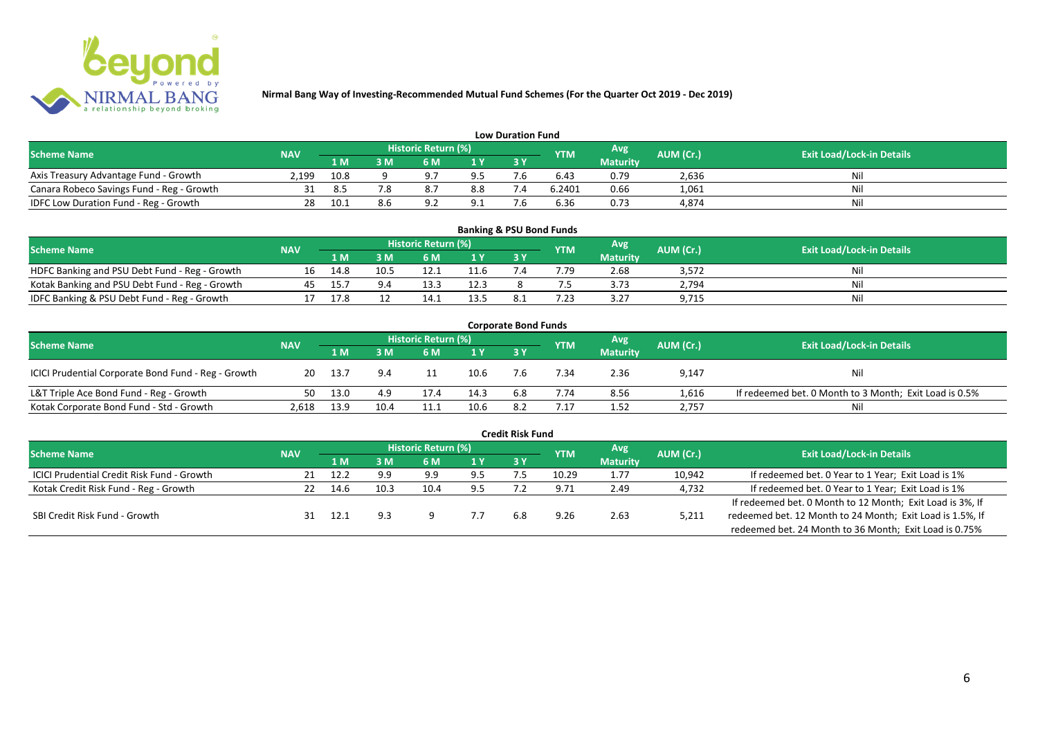

|                                           |            |                                                        |    |                |                                  | <b>Low Duration Fund</b> |        |                 |       |     |
|-------------------------------------------|------------|--------------------------------------------------------|----|----------------|----------------------------------|--------------------------|--------|-----------------|-------|-----|
| <b>Scheme Name</b>                        | <b>NAV</b> | Historic Return (%)<br>Avg'<br>AUM (Cr.)<br><b>YTM</b> |    |                | <b>Exit Load/Lock-in Details</b> |                          |        |                 |       |     |
|                                           |            | 1 M                                                    | sм | 6 M            | 1 Y                              | 3 Y                      |        | <b>Maturity</b> |       |     |
| Axis Treasury Advantage Fund - Growth     | 2.199      | 10.8                                                   |    | Q <sub>7</sub> | 9.5                              |                          | 6.43   | 0.79            | 2,636 | Nil |
| Canara Robeco Savings Fund - Reg - Growth |            | 8.5                                                    |    |                | 8.8                              |                          | 6.2401 | 0.66            | 1,061 | Nil |
| IDFC Low Duration Fund - Reg - Growth     |            |                                                        |    | $\Omega$       | 9.1                              | - -                      | 6.36   | 0.73            | 4,874 | Nil |

| <b>Banking &amp; PSU Bond Funds</b>            |            |      |      |                            |      |     |            |                 |           |                                  |  |  |  |
|------------------------------------------------|------------|------|------|----------------------------|------|-----|------------|-----------------|-----------|----------------------------------|--|--|--|
| <b>Scheme Name</b>                             | <b>NAV</b> |      |      | <b>Historic Return (%)</b> |      |     | <b>YTM</b> | Avg             | AUM (Cr.) | <b>Exit Load/Lock-in Details</b> |  |  |  |
|                                                |            | 1 M  | 8 M  | 6 M                        |      | 3 Y |            | <b>Maturity</b> |           |                                  |  |  |  |
| HDFC Banking and PSU Debt Fund - Reg - Growth  |            | 14.8 | 10.5 |                            |      |     | 7.79       | 2.68            | 3,572     | Ni                               |  |  |  |
| Kotak Banking and PSU Debt Fund - Reg - Growth |            |      |      |                            | 12.3 |     |            | 3.73            | 2,794     | Ni                               |  |  |  |
| IDFC Banking & PSU Debt Fund - Reg - Growth    |            | 17.8 |      |                            | 13.5 |     | .23        | 3.27            | 9,715     | Nil                              |  |  |  |

| <b>Corporate Bond Funds</b>                         |            |      |      |                     |      |     |            |                 |           |                                                        |  |  |  |  |
|-----------------------------------------------------|------------|------|------|---------------------|------|-----|------------|-----------------|-----------|--------------------------------------------------------|--|--|--|--|
| <b>Scheme Name</b>                                  | <b>NAV</b> |      |      | Historic Return (%) |      |     | <b>YTM</b> | Avg             | AUM (Cr.) | <b>Exit Load/Lock-in Details</b>                       |  |  |  |  |
|                                                     |            | 1 M  | M    | 6 M                 | 1Y   | 3Y  |            | <b>Maturity</b> |           |                                                        |  |  |  |  |
| ICICI Prudential Corporate Bond Fund - Reg - Growth | 20         | 13.7 |      |                     | 10.6 |     | .34        | 2.36            | 9,147     | Nil                                                    |  |  |  |  |
| L&T Triple Ace Bond Fund - Reg - Growth             | 50         | 13.0 | 4.9  | 17.4                | 14.3 | 6.8 | 7.74       | 8.56            | 1,616     | If redeemed bet. 0 Month to 3 Month; Exit Load is 0.5% |  |  |  |  |
| Kotak Corporate Bond Fund - Std - Growth            | 2.618      | 13.9 | 10.4 | 11.1                | 10.6 |     |            | 1.52            | 2,757     | Nil                                                    |  |  |  |  |

|                                            |            |       |      |                     |     | Credit Risk Fund |            |                 |           |                                                           |
|--------------------------------------------|------------|-------|------|---------------------|-----|------------------|------------|-----------------|-----------|-----------------------------------------------------------|
| <b>Scheme Name</b>                         | <b>NAV</b> |       |      | Historic Return (%) |     |                  | <b>YTM</b> | Avg.            | AUM (Cr.) | <b>Exit Load/Lock-in Details</b>                          |
|                                            |            | 1 M.  | 3 M  | 6 M                 | 1 Y | 73 Y.            |            | <b>Maturity</b> |           |                                                           |
| ICICI Prudential Credit Risk Fund - Growth | 21         | 12.2  | 9.9  | 9.9                 | 9.5 |                  | 10.29      | 1.77            | 10,942    | If redeemed bet. 0 Year to 1 Year; Exit Load is 1%        |
| Kotak Credit Risk Fund - Reg - Growth      | 22         | 14.6  | 10.3 | 10.4                | 9.5 |                  | 9.71       | 2.49            | 4,732     | If redeemed bet. 0 Year to 1 Year; Exit Load is 1%        |
|                                            |            |       |      |                     |     |                  |            |                 |           | If redeemed bet. 0 Month to 12 Month; Exit Load is 3%, If |
| SBI Credit Risk Fund - Growth              |            | -12.1 |      |                     |     | 6.8              | 9.26       | 2.63            | 5,211     | redeemed bet. 12 Month to 24 Month; Exit Load is 1.5%, If |
|                                            |            |       |      |                     |     |                  |            |                 |           | redeemed bet. 24 Month to 36 Month; Exit Load is 0.75%    |